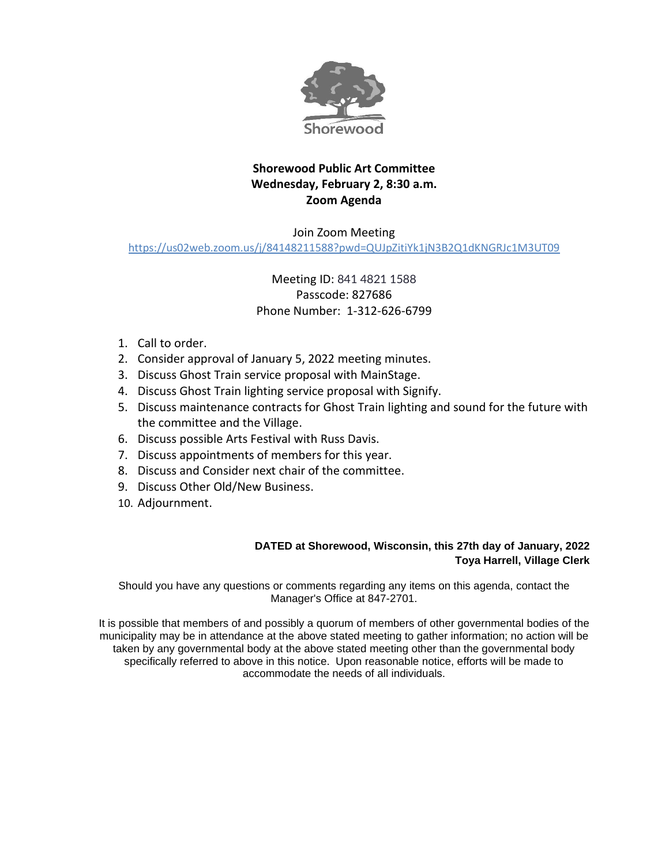

# **Shorewood Public Art Committee Wednesday, February 2, 8:30 a.m. Zoom Agenda**

### Join Zoom Meeting <https://us02web.zoom.us/j/84148211588?pwd=QUJpZitiYk1jN3B2Q1dKNGRJc1M3UT09>

# Meeting ID: 841 4821 1588 Passcode: 827686 Phone Number: 1-312-626-6799

- 1. Call to order.
- 2. Consider approval of January 5, 2022 meeting minutes.
- 3. Discuss Ghost Train service proposal with MainStage.
- 4. Discuss Ghost Train lighting service proposal with Signify.
- 5. Discuss maintenance contracts for Ghost Train lighting and sound for the future with the committee and the Village.
- 6. Discuss possible Arts Festival with Russ Davis.
- 7. Discuss appointments of members for this year.
- 8. Discuss and Consider next chair of the committee.
- 9. Discuss Other Old/New Business.
- 10. Adjournment.

#### **DATED at Shorewood, Wisconsin, this 27th day of January, 2022 Toya Harrell, Village Clerk**

Should you have any questions or comments regarding any items on this agenda, contact the Manager's Office at 847-2701.

It is possible that members of and possibly a quorum of members of other governmental bodies of the municipality may be in attendance at the above stated meeting to gather information; no action will be taken by any governmental body at the above stated meeting other than the governmental body specifically referred to above in this notice. Upon reasonable notice, efforts will be made to accommodate the needs of all individuals.